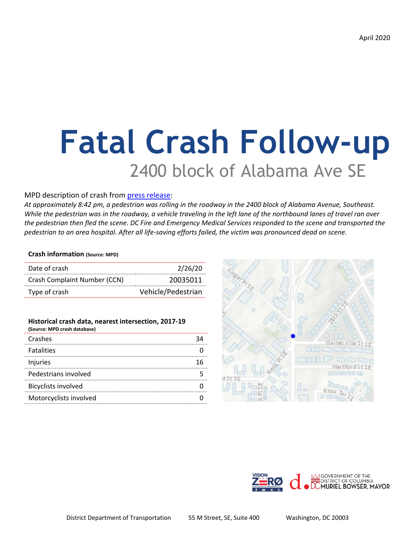# **Fatal Crash Follow-up** 2400 block of Alabama Ave SE

#### MPD description of crash from [press release:](https://mpdc.dc.gov/release/decedent-identified-traffic-fatality-2400-block-alabama-avenue-southeast)

*At approximately 8:42 pm, a pedestrian was rolling in the roadway in the 2400 block of Alabama Avenue, Southeast. While the pedestrian was in the roadway, a vehicle traveling in the left lane of the northbound lanes of travel ran over the pedestrian then fled the scene. DC Fire and Emergency Medical Services responded to the scene and transported the pedestrian to an area hospital. After all life-saving efforts failed, the victim was pronounced dead on scene.*

#### **Crash information (Source: MPD)**

| Date of crash                | 2/26/20            |
|------------------------------|--------------------|
| Crash Complaint Number (CCN) | 20035011           |
| Type of crash                | Vehicle/Pedestrian |

#### **Historical crash data, nearest intersection, 2017-19**

| (Source: MPD crash database) |  |
|------------------------------|--|
| Crashes                      |  |
| <b>Fatalities</b>            |  |
| Injuries                     |  |
| Pedestrians involved         |  |
| <b>Bicyclists involved</b>   |  |
| Motorcyclists involved       |  |
|                              |  |